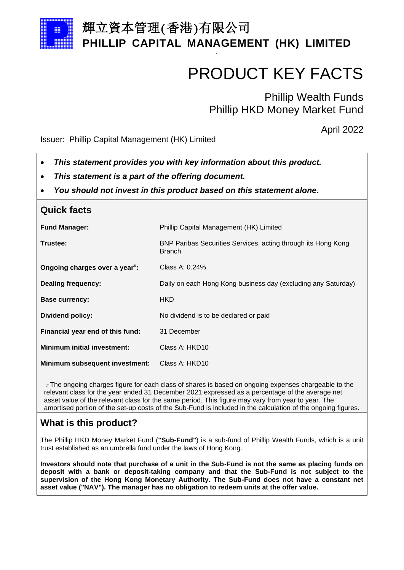

## 輝立資本管理(香港)有限公司 **PHILLIP CAPITAL MANAGEMENT (HK) LIMITED**

.

# PRODUCT KEY FACTS

Phillip Wealth Funds Phillip HKD Money Market Fund

April 2022

Issuer: Phillip Capital Management (HK) Limited

- *This statement provides you with key information about this product.*
- *This statement is a part of the offering document.*
- *You should not invest in this product based on this statement alone.*

| <b>Quick facts</b>                         |                                                                                |  |
|--------------------------------------------|--------------------------------------------------------------------------------|--|
| <b>Fund Manager:</b>                       | Phillip Capital Management (HK) Limited                                        |  |
| Trustee:                                   | BNP Paribas Securities Services, acting through its Hong Kong<br><b>Branch</b> |  |
| Ongoing charges over a year <sup>#</sup> : | Class A: 0.24%                                                                 |  |
| <b>Dealing frequency:</b>                  | Daily on each Hong Kong business day (excluding any Saturday)                  |  |
| <b>Base currency:</b>                      | <b>HKD</b>                                                                     |  |
| Dividend policy:                           | No dividend is to be declared or paid                                          |  |
| Financial year end of this fund:           | 31 December                                                                    |  |
| <b>Minimum initial investment:</b>         | Class A: HKD10                                                                 |  |
| Minimum subsequent investment:             | Class A: HKD10                                                                 |  |

# The ongoing charges figure for each class of shares is based on ongoing expenses chargeable to the relevant class for the year ended 31 December 2021 expressed as a percentage of the average net asset value of the relevant class for the same period. This figure may vary from year to year. The amortised portion of the set-up costs of the Sub-Fund is included in the calculation of the ongoing figures.

### **What is this product?**

The Phillip HKD Money Market Fund (**"Sub-Fund"**) is a sub-fund of Phillip Wealth Funds, which is a unit trust established as an umbrella fund under the laws of Hong Kong.

**Investors should note that purchase of a unit in the Sub-Fund is not the same as placing funds on deposit with a bank or deposit-taking company and that the Sub-Fund is not subject to the supervision of the Hong Kong Monetary Authority. The Sub-Fund does not have a constant net asset value ("NAV"). The manager has no obligation to redeem units at the offer value.**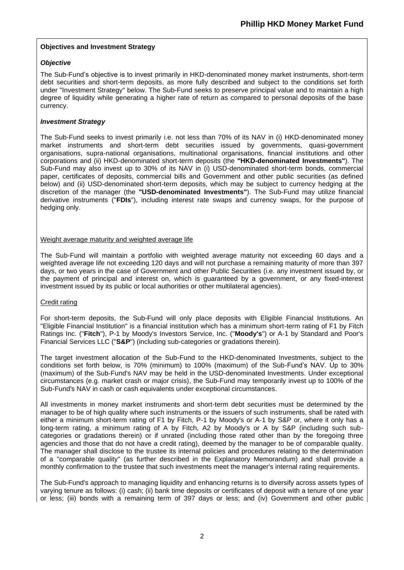#### **Objectives and Investment Strategy**

#### *Objective*

The Sub-Fund's objective is to invest primarily in HKD-denominated money market instruments, short-term debt securities and short-term deposits, as more fully described and subject to the conditions set forth under "Investment Strategy" below. The Sub-Fund seeks to preserve principal value and to maintain a high degree of liquidity while generating a higher rate of return as compared to personal deposits of the base currency.

#### *Investment Strategy*

The Sub-Fund seeks to invest primarily i.e. not less than 70% of its NAV in (i) HKD-denominated money market instruments and short-term debt securities issued by governments, quasi-government organisations, supra-national organisations, multinational organisations, financial institutions and other corporations and (ii) HKD-denominated short-term deposits (the **"HKD-denominated Investments"**). The Sub-Fund may also invest up to 30% of its NAV in (i) USD-denominated short-term bonds, commercial paper, certificates of deposits, commercial bills and Government and other public securities (as defined below) and (ii) USD-denominated short-term deposits, which may be subject to currency hedging at the discretion of the manager (the **"USD-denominated Investments"**). The Sub-Fund may utilize financial derivative instruments ("**FDIs**"), including interest rate swaps and currency swaps, for the purpose of hedging only.

#### Weight average maturity and weighted average life

The Sub-Fund will maintain a portfolio with weighted average maturity not exceeding 60 days and a weighted average life not exceeding 120 days and will not purchase a remaining maturity of more than 397 days, or two years in the case of Government and other Public Securities (i.e. any investment issued by, or the payment of principal and interest on, which is guaranteed by a government, or any fixed-interest investment issued by its public or local authorities or other multilateral agencies).

#### Credit rating

For short-term deposits, the Sub-Fund will only place deposits with Eligible Financial Institutions. An "Eligible Financial Institution" is a financial institution which has a minimum short-term rating of F1 by Fitch Ratings Inc. ("**Fitch**"), P-1 by Moody's Investors Service, Inc. ("**Moody's**") or A-1 by Standard and Poor's Financial Services LLC ("**S&P**") (including sub-categories or gradations therein).

The target investment allocation of the Sub-Fund to the HKD-denominated Investments, subject to the conditions set forth below, is 70% (minimum) to 100% (maximum) of the Sub-Fund's NAV. Up to 30% (maximum) of the Sub-Fund's NAV may be held in the USD-denominated Investments. Under exceptional circumstances (e.g. market crash or major crisis), the Sub-Fund may temporarily invest up to 100% of the Sub-Fund's NAV in cash or cash equivalents under exceptional circumstances.

All investments in money market instruments and short-term debt securities must be determined by the manager to be of high quality where such instruments or the issuers of such instruments, shall be rated with either a minimum short-term rating of F1 by Fitch, P-1 by Moody's or A-1 by S&P or, where it only has a long-term rating, a minimum rating of A by Fitch, A2 by Moody's or A by S&P (including such subcategories or gradations therein) or if unrated (including those rated other than by the foregoing three agencies and those that do not have a credit rating), deemed by the manager to be of comparable quality. The manager shall disclose to the trustee its internal policies and procedures relating to the determination of a "comparable quality" (as further described in the Explanatory Memorandum) and shall provide a monthly confirmation to the trustee that such investments meet the manager's internal rating requirements.

The Sub-Fund's approach to managing liquidity and enhancing returns is to diversify across assets types of varying tenure as follows: (i) cash; (ii) bank time deposits or certificates of deposit with a tenure of one year or less; (iii) bonds with a remaining term of 397 days or less; and (iv) Government and other public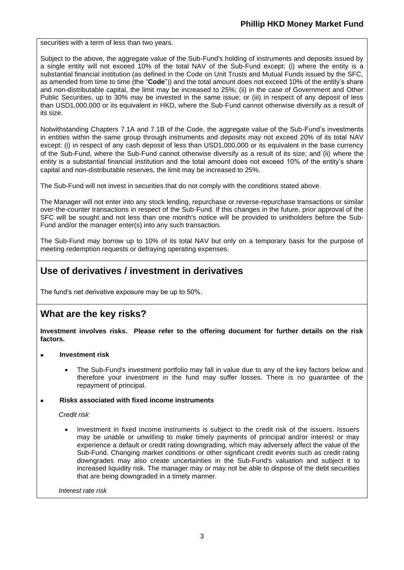securities with a term of less than two years.

Subject to the above, the aggregate value of the Sub-Fund's holding of instruments and deposits issued by a single entity will not exceed 10% of the total NAV of the Sub-Fund except: (i) where the entity is a substantial financial institution (as defined in the Code on Unit Trusts and Mutual Funds issued by the SFC, as amended from time to time (the "**Code**")) and the total amount does not exceed 10% of the entity's share and non-distributable capital, the limit may be increased to 25%; (ii) in the case of Government and Other Public Securities, up to 30% may be invested in the same issue; or (iii) in respect of any deposit of less than USD1,000,000 or its equivalent in HKD, where the Sub-Fund cannot otherwise diversify as a result of its size.

Notwithstanding Chapters 7.1A and 7.1B of the Code, the aggregate value of the Sub-Fund's investments in entities within the same group through instruments and deposits may not exceed 20% of its total NAV except: (i) in respect of any cash deposit of less than USD1,000,000 or its equivalent in the base currency of the Sub-Fund, where the Sub-Fund cannot otherwise diversify as a result of its size; and (ii) where the entity is a substantial financial institution and the total amount does not exceed 10% of the entity's share capital and non-distributable reserves, the limit may be increased to 25%.

The Sub-Fund will not invest in securities that do not comply with the conditions stated above.

The Manager will not enter into any stock lending, repurchase or reverse-repurchase transactions or similar over-the-counter transactions in respect of the Sub-Fund. If this changes in the future, prior approval of the SFC will be sought and not less than one month's notice will be provided to unitholders before the Sub-Fund and/or the manager enter(s) into any such transaction.

The Sub-Fund may borrow up to 10% of its total NAV but only on a temporary basis for the purpose of meeting redemption requests or defraying operating expenses.

### **Use of derivatives / investment in derivatives**

The fund's net derivative exposure may be up to 50%.

### **What are the key risks?**

**Investment involves risks. Please refer to the offering document for further details on the risk factors.**

- **Investment risk**
	- The Sub-Fund's investment portfolio may fall in value due to any of the key factors below and therefore your investment in the fund may suffer losses. There is no guarantee of the repayment of principal.

#### • **Risks associated with fixed income instruments**

*Credit risk*

• Investment in fixed income instruments is subject to the credit risk of the issuers. Issuers may be unable or unwilling to make timely payments of principal and/or interest or may experience a default or credit rating downgrading, which may adversely affect the value of the Sub-Fund. Changing market conditions or other significant credit events such as credit rating downgrades may also create uncertainties in the Sub-Fund's valuation and subject it to increased liquidity risk. The manager may or may not be able to dispose of the debt securities that are being downgraded in a timely manner.

*Interest rate risk*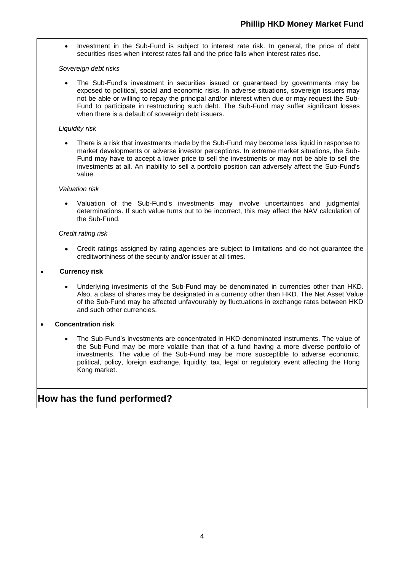• Investment in the Sub-Fund is subject to interest rate risk. In general, the price of debt securities rises when interest rates fall and the price falls when interest rates rise.

#### *Sovereign debt risks*

• The Sub-Fund's investment in securities issued or guaranteed by governments may be exposed to political, social and economic risks. In adverse situations, sovereign issuers may not be able or willing to repay the principal and/or interest when due or may request the Sub-Fund to participate in restructuring such debt. The Sub-Fund may suffer significant losses when there is a default of sovereign debt issuers.

#### *Liquidity risk*

• There is a risk that investments made by the Sub-Fund may become less liquid in response to market developments or adverse investor perceptions. In extreme market situations, the Sub-Fund may have to accept a lower price to sell the investments or may not be able to sell the investments at all. An inability to sell a portfolio position can adversely affect the Sub-Fund's value.

#### *Valuation risk*

• Valuation of the Sub-Fund's investments may involve uncertainties and judgmental determinations. If such value turns out to be incorrect, this may affect the NAV calculation of the Sub-Fund.

#### *Credit rating risk*

• Credit ratings assigned by rating agencies are subject to limitations and do not guarantee the creditworthiness of the security and/or issuer at all times.

#### • **Currency risk**

• Underlying investments of the Sub-Fund may be denominated in currencies other than HKD. Also, a class of shares may be designated in a currency other than HKD. The Net Asset Value of the Sub-Fund may be affected unfavourably by fluctuations in exchange rates between HKD and such other currencies.

#### • **Concentration risk**

• The Sub-Fund's investments are concentrated in HKD-denominated instruments. The value of the Sub-Fund may be more volatile than that of a fund having a more diverse portfolio of investments. The value of the Sub-Fund may be more susceptible to adverse economic, political, policy, foreign exchange, liquidity, tax, legal or regulatory event affecting the Hong Kong market.

### **How has the fund performed?**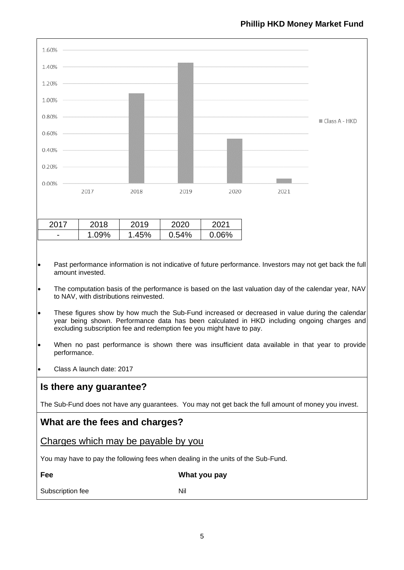| 1.60%                                                                                                                                                                                                                                                                                                                                                                                                                                                                                                                                                                                                                         |       |       |       |              |      |                 |
|-------------------------------------------------------------------------------------------------------------------------------------------------------------------------------------------------------------------------------------------------------------------------------------------------------------------------------------------------------------------------------------------------------------------------------------------------------------------------------------------------------------------------------------------------------------------------------------------------------------------------------|-------|-------|-------|--------------|------|-----------------|
| 1.40%                                                                                                                                                                                                                                                                                                                                                                                                                                                                                                                                                                                                                         |       |       |       |              |      |                 |
| 1.20%                                                                                                                                                                                                                                                                                                                                                                                                                                                                                                                                                                                                                         |       |       |       |              |      |                 |
| 1.00%                                                                                                                                                                                                                                                                                                                                                                                                                                                                                                                                                                                                                         |       |       |       |              |      |                 |
| $0.80\%$                                                                                                                                                                                                                                                                                                                                                                                                                                                                                                                                                                                                                      |       |       |       |              |      | ■ Class A - HKD |
| $0.60\%$                                                                                                                                                                                                                                                                                                                                                                                                                                                                                                                                                                                                                      |       |       |       |              |      |                 |
| 0.40%                                                                                                                                                                                                                                                                                                                                                                                                                                                                                                                                                                                                                         |       |       |       |              |      |                 |
| 0.20%                                                                                                                                                                                                                                                                                                                                                                                                                                                                                                                                                                                                                         |       |       |       |              |      |                 |
| 0.00%                                                                                                                                                                                                                                                                                                                                                                                                                                                                                                                                                                                                                         | 2017  | 2018  | 2019  | 2020         | 2021 |                 |
|                                                                                                                                                                                                                                                                                                                                                                                                                                                                                                                                                                                                                               |       |       |       |              |      |                 |
| 2017                                                                                                                                                                                                                                                                                                                                                                                                                                                                                                                                                                                                                          | 2018  | 2019  | 2020  | 2021         |      |                 |
|                                                                                                                                                                                                                                                                                                                                                                                                                                                                                                                                                                                                                               | 1.09% | 1.45% | 0.54% | 0.06%        |      |                 |
| The computation basis of the performance is based on the last valuation day of the calendar year, NAV<br>$\bullet$<br>to NAV, with distributions reinvested.<br>These figures show by how much the Sub-Fund increased or decreased in value during the calendar<br>$\bullet$<br>year being shown. Performance data has been calculated in HKD including ongoing charges and<br>excluding subscription fee and redemption fee you might have to pay.<br>When no past performance is shown there was insufficient data available in that year to provide<br>$\bullet$<br>performance.<br>Class A launch date: 2017<br>$\bullet$ |       |       |       |              |      |                 |
|                                                                                                                                                                                                                                                                                                                                                                                                                                                                                                                                                                                                                               |       |       |       |              |      |                 |
| Is there any guarantee?                                                                                                                                                                                                                                                                                                                                                                                                                                                                                                                                                                                                       |       |       |       |              |      |                 |
| The Sub-Fund does not have any guarantees. You may not get back the full amount of money you invest.                                                                                                                                                                                                                                                                                                                                                                                                                                                                                                                          |       |       |       |              |      |                 |
| What are the fees and charges?                                                                                                                                                                                                                                                                                                                                                                                                                                                                                                                                                                                                |       |       |       |              |      |                 |
| Charges which may be payable by you                                                                                                                                                                                                                                                                                                                                                                                                                                                                                                                                                                                           |       |       |       |              |      |                 |
| You may have to pay the following fees when dealing in the units of the Sub-Fund.                                                                                                                                                                                                                                                                                                                                                                                                                                                                                                                                             |       |       |       |              |      |                 |
| Fee                                                                                                                                                                                                                                                                                                                                                                                                                                                                                                                                                                                                                           |       |       |       | What you pay |      |                 |
| Subscription fee<br>Nil                                                                                                                                                                                                                                                                                                                                                                                                                                                                                                                                                                                                       |       |       |       |              |      |                 |